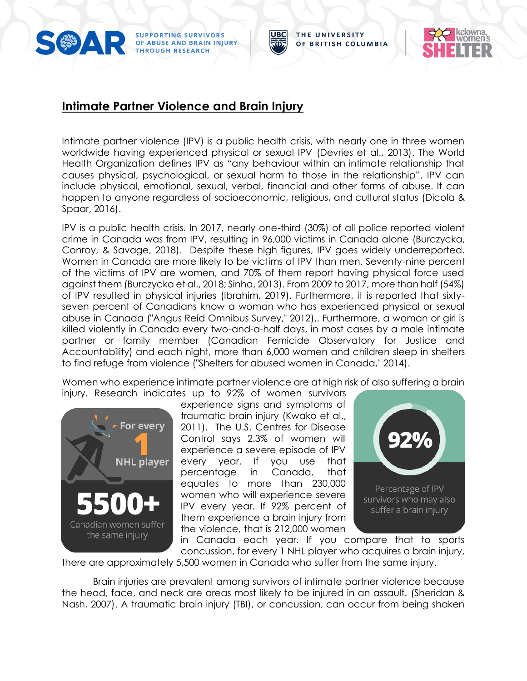





## **Intimate Partner Violence and Brain Injury**

Intimate partner violence (IPV) is a public health crisis, with nearly one in three women worldwide having experienced physical or sexual IPV (Devries et al., 2013). The World Health Organization defines IPV as "any behaviour within an intimate relationship that causes physical, psychological, or sexual harm to those in the relationship". IPV can include physical, emotional, sexual, verbal, financial and other forms of abuse. It can happen to anyone regardless of socioeconomic, religious, and cultural status (Dicola & Spaar, 2016).

IPV is a public health crisis. In 2017, nearly one-third (30%) of all police reported violent crime in Canada was from IPV, resulting in 96,000 victims in Canada alone (Burczycka, Conroy, & Savage, 2018). Despite these high figures, IPV goes widely underreported. Women in Canada are more likely to be victims of IPV than men. Seventy-nine percent of the victims of IPV are women, and 70% of them report having physical force used against them (Burczycka et al., 2018; Sinha, 2013). From 2009 to 2017, more than half (54%) of IPV resulted in physical injuries (Ibrahim, 2019). Furthermore, it is reported that sixtyseven percent of Canadians know a woman who has experienced physical or sexual abuse in Canada ("Angus Reid Omnibus Survey," 2012),. Furthermore, a woman or girl is killed violently in Canada every two-and-a-half days, in most cases by a male intimate partner or family member (Canadian Femicide Observatory for Justice and Accountability) and each night, more than 6,000 women and children sleep in shelters to find refuge from violence ("Shelters for abused women in Canada," 2014).

Women who experience intimate partner violence are at high risk of also suffering a brain injury. Research indicates up to 92% of women survivors



experience signs and symptoms of traumatic brain injury (Kwako et al., 2011). The U.S. Centres for Disease Control says 2.3% of women will experience a severe episode of IPV every year. If you use that percentage in Canada, that equates to more than 230,000 women who will experience severe IPV every year. If 92% percent of them experience a brain injury from the violence, that is 212,000 women



in Canada each year. If you compare that to sports concussion, for every 1 NHL player who acquires a brain injury,

there are approximately 5,500 women in Canada who suffer from the same injury.

Brain injuries are prevalent among survivors of intimate partner violence because the head, face, and neck are areas most likely to be injured in an assault. (Sheridan & Nash, 2007). A traumatic brain injury (TBI), or concussion, can occur from being shaken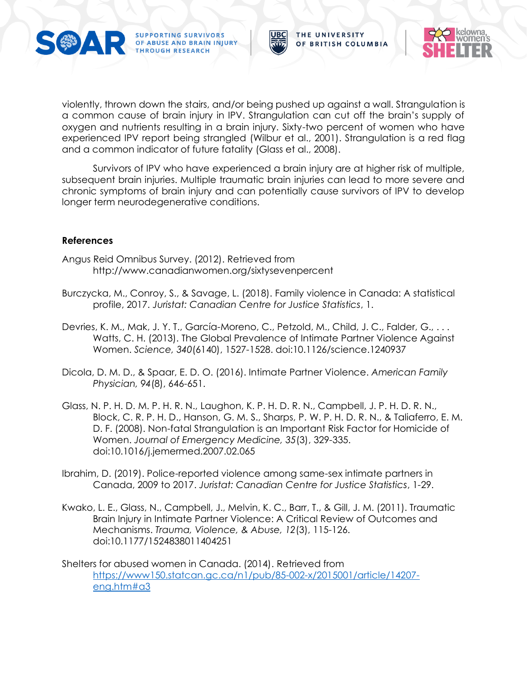

SUPPORTING SURVIVORS<br>OF ABUSE AND BRAIN INJURY<br>THROUGH RESEARCH





violently, thrown down the stairs, and/or being pushed up against a wall. Strangulation is a common cause of brain injury in IPV. Strangulation can cut off the brain's supply of oxygen and nutrients resulting in a brain injury. Sixty-two percent of women who have experienced IPV report being strangled (Wilbur et al., 2001). Strangulation is a red flag and a common indicator of future fatality (Glass et al., 2008).

Survivors of IPV who have experienced a brain injury are at higher risk of multiple, subsequent brain injuries. Multiple traumatic brain injuries can lead to more severe and chronic symptoms of brain injury and can potentially cause survivors of IPV to develop longer term neurodegenerative conditions.

## **References**

- Angus Reid Omnibus Survey. (2012). Retrieved from http://www.canadianwomen.org/sixtysevenpercent
- Burczycka, M., Conroy, S., & Savage, L. (2018). Family violence in Canada: A statistical profile, 2017. *Juristat: Canadian Centre for Justice Statistics*, 1.
- Devries, K. M., Mak, J. Y. T., García-Moreno, C., Petzold, M., Child, J. C., Falder, G., ... Watts, C. H. (2013). The Global Prevalence of Intimate Partner Violence Against Women. *Science, 340*(6140), 1527-1528. doi:10.1126/science.1240937
- Dicola, D. M. D., & Spaar, E. D. O. (2016). Intimate Partner Violence. *American Family Physician, 94*(8), 646-651.
- Glass, N. P. H. D. M. P. H. R. N., Laughon, K. P. H. D. R. N., Campbell, J. P. H. D. R. N., Block, C. R. P. H. D., Hanson, G. M. S., Sharps, P. W. P. H. D. R. N., & Taliaferro, E. M. D. F. (2008). Non-fatal Strangulation is an Important Risk Factor for Homicide of Women. *Journal of Emergency Medicine, 35*(3), 329-335. doi:10.1016/j.jemermed.2007.02.065
- Ibrahim, D. (2019). Police-reported violence among same-sex intimate partners in Canada, 2009 to 2017. *Juristat: Canadian Centre for Justice Statistics*, 1-29.
- Kwako, L. E., Glass, N., Campbell, J., Melvin, K. C., Barr, T., & Gill, J. M. (2011). Traumatic Brain Injury in Intimate Partner Violence: A Critical Review of Outcomes and Mechanisms. *Trauma, Violence, & Abuse, 12*(3), 115-126. doi:10.1177/1524838011404251

Shelters for abused women in Canada. (2014). Retrieved from [https://www150.statcan.gc.ca/n1/pub/85-002-x/2015001/article/14207](https://www150.statcan.gc.ca/n1/pub/85-002-x/2015001/article/14207-eng.htm#a3) [eng.htm#a3](https://www150.statcan.gc.ca/n1/pub/85-002-x/2015001/article/14207-eng.htm#a3)